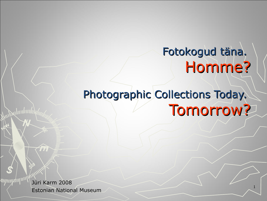# Fotokogud täna. Homme?

# Photographic Collections Today. Tomorrow?

Jüri Karm 2008 Estonian National Museum <sup>1</sup>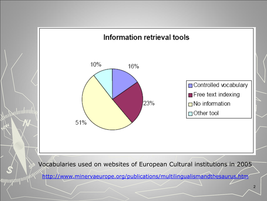

Vocabularies used on websites of European Cultural institutions in 2005

<http://www.minervaeurope.org/publications/multilingualismandthesaurus.htm>

mpmphip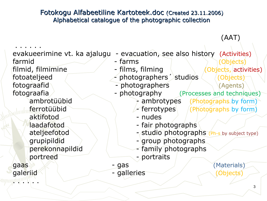### Fotokogu Alfabeetiline Kartoteek.doc (Created 23.11.2006) Alphabetical catalogue of the photographic collection

(AAT)

. . . . . . evakueerimine vt. ka ajalugu - evacuation, see also history (Activities) farmid - farms The Chilects) filmid, filmimine  $\sim$  - films, filming  $\sim$  (Objects, activities) fotoateljeed / photographers studios (Objects) fotograafid - photographers / Agents) fotograafia - photography (Processes and techniques) ambrotüübid - ambrotypes (Photographs by form)  $ferrorüübid$   $\qquad$  ferrotypes  $(fProtopraphs by form)$ aktifotod - nudes laadafotod and a fair photographs ateljeefotod ateljeefotod ateljeefotod ateljeefotod ateljeefotod at a studio photographs (Ph-s by subject type) grupipildid  $\rightarrow$   $\rightarrow$   $\rightarrow$   $\rightarrow$  group photographs perekonnapildid / **Camily photographs** portreed - portraits  $\mathsf{gaas} \geqslant \mathbb{R}$  - gas (Materials) galeriid (Objects) - galleries (Objects)  $\mathbb{E} \left[ \mathbb{E} \left[ \mathbb{E} \left[ \mathbb{E} \left[ \mathbb{E} \left[ \mathbb{E} \left[ \mathbb{E} \left[ \mathbb{E} \left[ \mathbb{E} \left[ \mathbb{E} \left[ \mathbb{E} \left[ \mathbb{E} \left[ \mathbb{E} \left[ \mathbb{E} \left[ \mathbb{E} \left[ \mathbb{E} \left[ \mathbb{E} \left[ \mathbb{E} \left[ \mathbb{E} \left[ \mathbb{E} \left[ \mathbb{E} \left[ \mathbb{E} \left[ \mathbb{E} \left[ \mathbb{E} \left[ \mathbb{$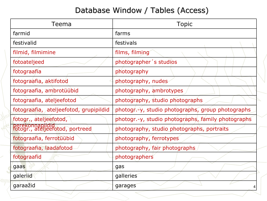## Database Window / Tables (Access)

| Teema                                              | <b>Topic</b>                                       |
|----------------------------------------------------|----------------------------------------------------|
| farmid                                             | farms                                              |
| festivalid                                         | festivals                                          |
| filmid, filmimine                                  | films, filming                                     |
| fotoateljeed                                       | photographer's studios                             |
| fotograafia                                        | photography                                        |
| fotograafia, aktifotod                             | photography, nudes                                 |
| fotograafia, ambrotüübid                           | photography, ambrotypes                            |
| fotograafia, ateljeefotod                          | photography, studio photographs                    |
| fotograafia, ateljeefotod, grupipildid             | photogr.-y, studio photographs, group photographs  |
| fotogr., ateljeefotod,                             | photogr.-y, studio photographs, family photographs |
| perekonnapildid<br>fotogr., ateljeefotod, portreed | photography, studio photographs, portraits         |
| fotograafia, ferrotüübid                           | photography, ferrotypes                            |
| fotograafia, laadafotod                            | photography, fair photographs                      |
| fotograafid                                        | photographers                                      |
| gaas                                               | gas                                                |
| galeriid                                           | galleries                                          |
| garaažid                                           | garages                                            |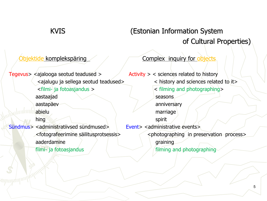## KVIS (Estonian Information System of Cultural Properties)

Tegevus>  $\leq$  ajalooga seotud teadused >  $\leq$  Activity >  $\leq$  sciences related to history aastaajad seasons aastapäev anniversary anniversary abielu marriage marriage hing the spirit spirit Sündmus> <administratiivsed sündmused> Event> <administrative events> aaderdamine aader aan aan aan de graining filmi- ja fotoasjandus /  $\sqrt{\frac{1}{\pi}}$  filming and photographing

Objektide komplekspäring and Complex inquiry for objects

<ajalugu ja sellega seotud teadused> < history and sciences related to it> <filmi- ja fotoasjandus > < filming and photographing> <fotografeerimine säilitusprotsessis> <photographing in preservation process>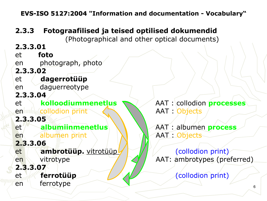**EVS-ISO 5127:2004 "Information and documentation - Vocabulary"**

### **2.3.3 Fotograafilised ja teised optilised dokumendid**

(Photographical and other optical documents)

**2.3.3.01** et **foto** en photograph, photo **2.3.3.02** et **dagerrotüüp** en daguerreotype **2.3.3.04** et **kolloodiummenetlus** AAT : collodion **processes** en *minimizo*llodion print AAT : Objects **2.3.3.05** et **albumiinmenetlus \\\\** AAT : albumen **process** en albumen print AAT Objects **2.3.3.06** et **ambrotüüp.** vitrotüüp / / / / / (collodion print) en vitrotype and AAT: ambrotypes (preferred) **2.3.3.07** et **ferrotüüp ferrotüüp ferrotüüp ferrotüüp** en ferrotype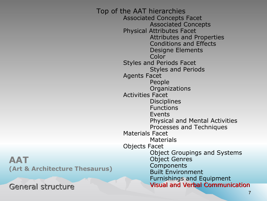**AAT (Art & Architecture Thesaurus)**

General structure

Top of the AAT hierarchies Associated Concepts Facet Associated Concepts Physical Attributes Facet Attributes and Properties Conditions and Effects Designe Elements Color Styles and Periods Facet Styles and Periods Agents Facet People **Organizations** Activities Facet **Disciplines** Functions Events Physical and Mental Activities Processes and Techniques Materials Facet Materials Objects Facet Object Groupings and Systems Object Genres **Components** Built Environment Furnishings and Equipment Visual and Verbal Communication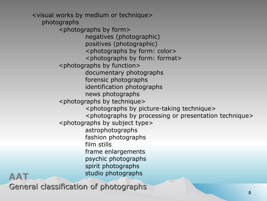<visual works by medium or technique> photographs <photographs by form> negatives (photographic) positives (photographic) <photographs by form: color> <photographs by form: format> <photographs by function> documentary photographs forensic photographs identification photographs news photographs <photographs by technique> <photographs by picture-taking technique> <photographs by processing or presentation technique> <photographs by subject type> astrophotographs fashion photographs film stills frame enlargements psychic photographs spirit photographs studio photographs **AAT**

General classification of photographs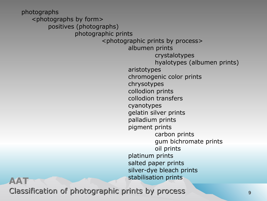photographs <photographs by form> positives (photographs) photographic prints <photographic prints by process> albumen prints crystalotypes hyalotypes (albumen prints) aristotypes chromogenic color prints chrysotypes collodion prints collodion transfers cyanotypes gelatin silver prints palladium prints pigment prints carbon prints gum bichromate prints oil prints platinum prints salted paper prints silver-dye bleach prints stabilisation prints **AAT**

Classification of photographic prints by process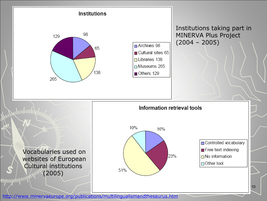

<http://www.minervaeurope.org/publications/multilingualismandthesaurus.htm>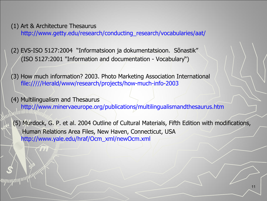(1) Art & Architecture Thesaurus [http://www.getty.edu/research/conducting\\_research/vocabularies/aat/](http://www.getty.edu/research/conducting_research/vocabularies/aat/)

(2) EVS-ISO 5127:2004 "Informatsioon ja dokumentatsioon. Sõnastik" (ISO 5127:2001 "Information and documentation - Vocabulary")

(3) How much information? 2003. Photo Marketing Association International [file://///Herald/www/research/projects/how-much-info-2003](file:///E:/Aldis/LFK/\\Herald\www\research\projects\how-much-info-2003)

(4) Multilingualism and Thesaurus <http://www.minervaeurope.org/publications/multilingualismandthesaurus.htm>

(5) Murdock, G. P. et al. 2004 Outline of Cultural Materials, Fifth Edition with modifications, Human Relations Area Files, New Haven, Connecticut, USA [http://www.yale.edu/hraf/Ocm\\_xml/newOcm.xml](http://www.yale.edu/hraf/Ocm_xml/newOcm.xml)